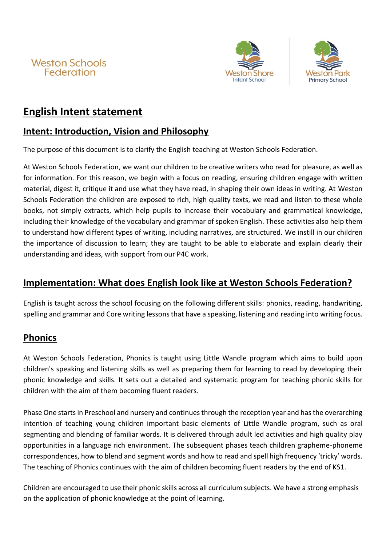





# **English Intent statement**

## **Intent: Introduction, Vision and Philosophy**

The purpose of this document is to clarify the English teaching at Weston Schools Federation.

At Weston Schools Federation, we want our children to be creative writers who read for pleasure, as well as for information. For this reason, we begin with a focus on reading, ensuring children engage with written material, digest it, critique it and use what they have read, in shaping their own ideas in writing. At Weston Schools Federation the children are exposed to rich, high quality texts, we read and listen to these whole books, not simply extracts, which help pupils to increase their vocabulary and grammatical knowledge, including their knowledge of the vocabulary and grammar of spoken English. These activities also help them to understand how different types of writing, including narratives, are structured. We instill in our children the importance of discussion to learn; they are taught to be able to elaborate and explain clearly their understanding and ideas, with support from our P4C work.

## **Implementation: What does English look like at Weston Schools Federation?**

English is taught across the school focusing on the following different skills: phonics, reading, handwriting, spelling and grammar and Core writing lessons that have a speaking, listening and reading into writing focus.

## **Phonics**

At Weston Schools Federation, Phonics is taught using Little Wandle program which aims to build upon children's speaking and listening skills as well as preparing them for learning to read by developing their phonic knowledge and skills. It sets out a detailed and systematic program for teaching phonic skills for children with the aim of them becoming fluent readers.

Phase One starts in Preschool and nursery and continues through the reception year and has the overarching intention of teaching young children important basic elements of Little Wandle program, such as oral segmenting and blending of familiar words. It is delivered through adult led activities and high quality play opportunities in a language rich environment. The subsequent phases teach children grapheme-phoneme correspondences, how to blend and segment words and how to read and spell high frequency 'tricky' words. The teaching of Phonics continues with the aim of children becoming fluent readers by the end of KS1.

Children are encouraged to use their phonic skills across all curriculum subjects. We have a strong emphasis on the application of phonic knowledge at the point of learning.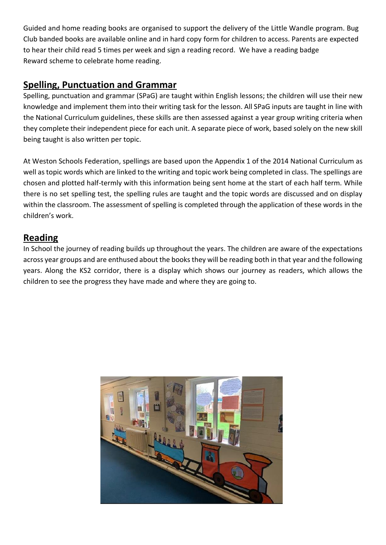Guided and home reading books are organised to support the delivery of the Little Wandle program. Bug Club banded books are available online and in hard copy form for children to access. Parents are expected to hear their child read 5 times per week and sign a reading record. We have a reading badge Reward scheme to celebrate home reading.

## **Spelling, Punctuation and Grammar**

Spelling, punctuation and grammar (SPaG) are taught within English lessons; the children will use their new knowledge and implement them into their writing task for the lesson. All SPaG inputs are taught in line with the National Curriculum guidelines, these skills are then assessed against a year group writing criteria when they complete their independent piece for each unit. A separate piece of work, based solely on the new skill being taught is also written per topic.

At Weston Schools Federation, spellings are based upon the Appendix 1 of the 2014 National Curriculum as well as topic words which are linked to the writing and topic work being completed in class. The spellings are chosen and plotted half-termly with this information being sent home at the start of each half term. While there is no set spelling test, the spelling rules are taught and the topic words are discussed and on display within the classroom. The assessment of spelling is completed through the application of these words in the children's work.

#### **Reading**

In School the journey of reading builds up throughout the years. The children are aware of the expectations across year groups and are enthused about the books they will be reading both in that year and the following years. Along the KS2 corridor, there is a display which shows our journey as readers, which allows the children to see the progress they have made and where they are going to.

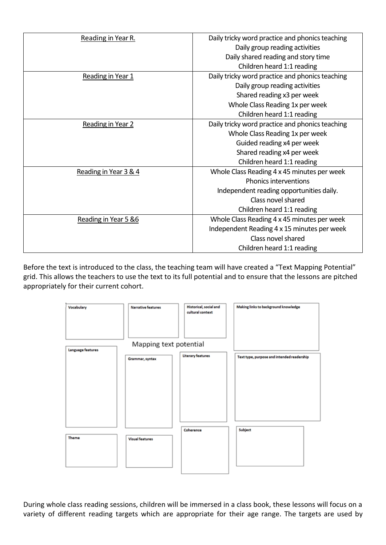| Reading in Year R.    | Daily tricky word practice and phonics teaching |
|-----------------------|-------------------------------------------------|
|                       | Daily group reading activities                  |
|                       | Daily shared reading and story time             |
|                       | Children heard 1:1 reading                      |
| Reading in Year 1     | Daily tricky word practice and phonics teaching |
|                       | Daily group reading activities                  |
|                       | Shared reading x3 per week                      |
|                       |                                                 |
|                       | Whole Class Reading 1x per week                 |
|                       | Children heard 1:1 reading                      |
| Reading in Year 2     | Daily tricky word practice and phonics teaching |
|                       | Whole Class Reading 1x per week                 |
|                       | Guided reading x4 per week                      |
|                       | Shared reading x4 per week                      |
|                       | Children heard 1:1 reading                      |
| Reading in Year 3 & 4 | Whole Class Reading 4 x 45 minutes per week     |
|                       | <b>Phonics interventions</b>                    |
|                       | Independent reading opportunities daily.        |
|                       | Class novel shared                              |
|                       | Children heard 1:1 reading                      |
| Reading in Year 5 &6  | Whole Class Reading 4 x 45 minutes per week     |
|                       | Independent Reading 4 x 15 minutes per week     |
|                       | Class novel shared                              |
|                       | Children heard 1:1 reading                      |

Before the text is introduced to the class, the teaching team will have created a "Text Mapping Potential" grid. This allows the teachers to use the text to its full potential and to ensure that the lessons are pitched appropriately for their current cohort.



During whole class reading sessions, children will be immersed in a class book, these lessons will focus on a variety of different reading targets which are appropriate for their age range. The targets are used by